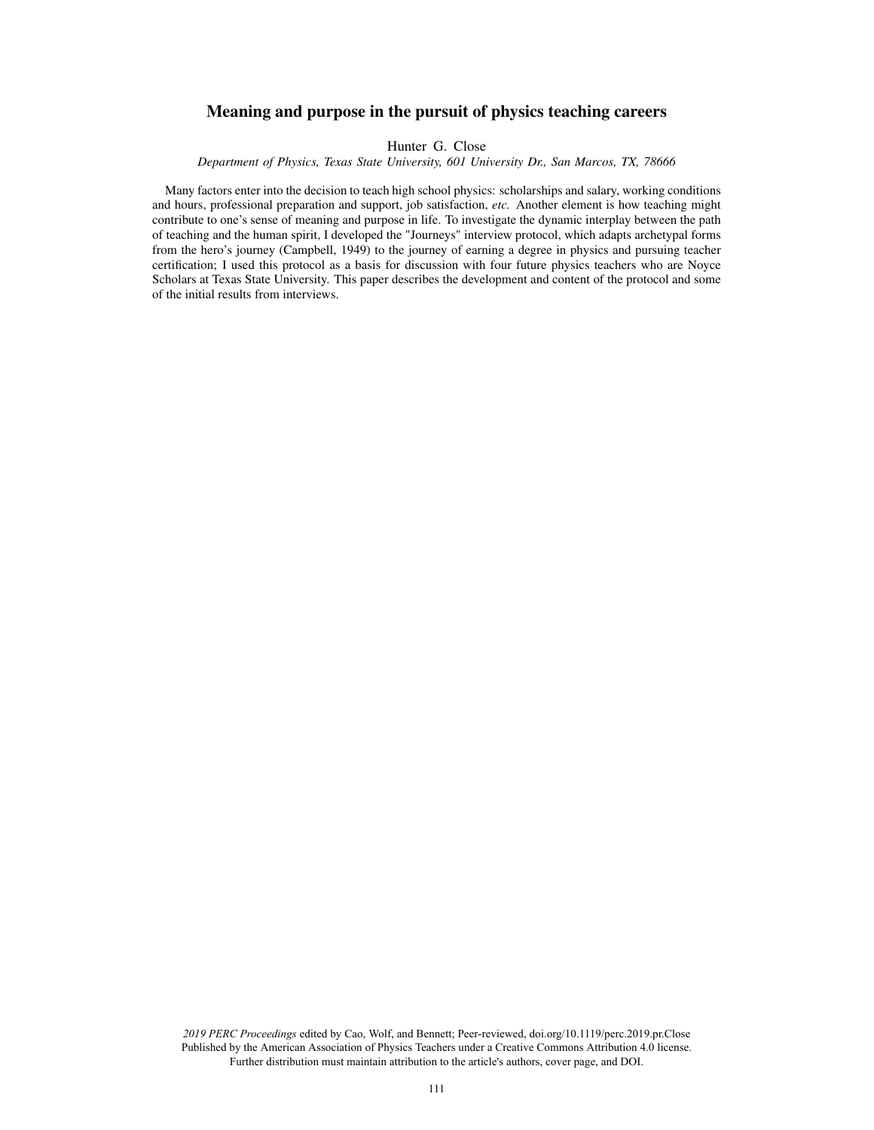# Meaning and purpose in the pursuit of physics teaching careers

Hunter G. Close

*Department of Physics, Texas State University, 601 University Dr., San Marcos, TX, 78666*

Many factors enter into the decision to teach high school physics: scholarships and salary, working conditions and hours, professional preparation and support, job satisfaction, *etc.* Another element is how teaching might contribute to one's sense of meaning and purpose in life. To investigate the dynamic interplay between the path of teaching and the human spirit, I developed the "Journeys" interview protocol, which adapts archetypal forms from the hero's journey (Campbell, 1949) to the journey of earning a degree in physics and pursuing teacher certification; I used this protocol as a basis for discussion with four future physics teachers who are Noyce Scholars at Texas State University. This paper describes the development and content of the protocol and some of the initial results from interviews.

*2019 PERC Proceedings* edited by Cao, Wolf, and Bennett; Peer-reviewed, doi.org/10.1119/perc.2019.pr.Close Published by the American Association of Physics Teachers under a Creative Commons Attribution 4.0 license. Further distribution must maintain attribution to the article's authors, cover page, and DOI.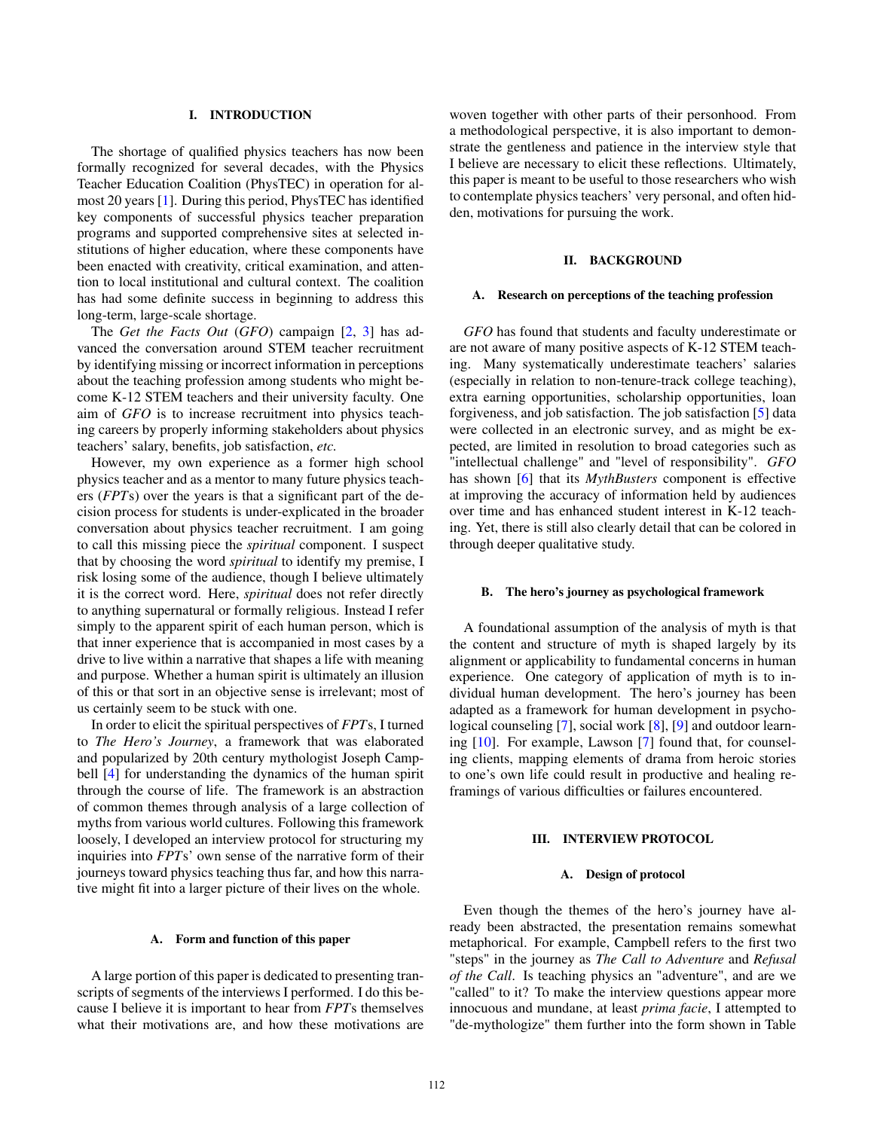### I. INTRODUCTION

The shortage of qualified physics teachers has now been formally recognized for several decades, with the Physics Teacher Education Coalition (PhysTEC) in operation for almost 20 years [1]. During this period, PhysTEC has identified key components of successful physics teacher preparation programs and supported comprehensive sites at selected institutions of higher education, where these components have been enacted with creativity, critical examination, and attention to local institutional and cultural context. The coalition has had some definite success in beginning to address this long-term, large-scale shortage.

The *Get the Facts Out* (*GFO*) campaign [2, 3] has advanced the conversation around STEM teacher recruitment by identifying missing or incorrect information in perceptions about the teaching profession among students who might become K-12 STEM teachers and their university faculty. One aim of *GFO* is to increase recruitment into physics teaching careers by properly informing stakeholders about physics teachers' salary, benefits, job satisfaction, *etc.*

However, my own experience as a former high school physics teacher and as a mentor to many future physics teachers (*FPT*s) over the years is that a significant part of the decision process for students is under-explicated in the broader conversation about physics teacher recruitment. I am going to call this missing piece the *spiritual* component. I suspect that by choosing the word *spiritual* to identify my premise, I risk losing some of the audience, though I believe ultimately it is the correct word. Here, *spiritual* does not refer directly to anything supernatural or formally religious. Instead I refer simply to the apparent spirit of each human person, which is that inner experience that is accompanied in most cases by a drive to live within a narrative that shapes a life with meaning and purpose. Whether a human spirit is ultimately an illusion of this or that sort in an objective sense is irrelevant; most of us certainly seem to be stuck with one.

In order to elicit the spiritual perspectives of *FPT*s, I turned to *The Hero's Journey*, a framework that was elaborated and popularized by 20th century mythologist Joseph Campbell [4] for understanding the dynamics of the human spirit through the course of life. The framework is an abstraction of common themes through analysis of a large collection of myths from various world cultures. Following this framework loosely, I developed an interview protocol for structuring my inquiries into *FPT*s' own sense of the narrative form of their journeys toward physics teaching thus far, and how this narrative might fit into a larger picture of their lives on the whole.

#### A. Form and function of this paper

A large portion of this paper is dedicated to presenting transcripts of segments of the interviews I performed. I do this because I believe it is important to hear from *FPT*s themselves what their motivations are, and how these motivations are woven together with other parts of their personhood. From a methodological perspective, it is also important to demonstrate the gentleness and patience in the interview style that I believe are necessary to elicit these reflections. Ultimately, this paper is meant to be useful to those researchers who wish to contemplate physics teachers' very personal, and often hidden, motivations for pursuing the work.

#### II. BACKGROUND

#### A. Research on perceptions of the teaching profession

*GFO* has found that students and faculty underestimate or are not aware of many positive aspects of K-12 STEM teaching. Many systematically underestimate teachers' salaries (especially in relation to non-tenure-track college teaching), extra earning opportunities, scholarship opportunities, loan forgiveness, and job satisfaction. The job satisfaction [5] data were collected in an electronic survey, and as might be expected, are limited in resolution to broad categories such as "intellectual challenge" and "level of responsibility". *GFO* has shown [6] that its *MythBusters* component is effective at improving the accuracy of information held by audiences over time and has enhanced student interest in K-12 teaching. Yet, there is still also clearly detail that can be colored in through deeper qualitative study.

#### B. The hero's journey as psychological framework

A foundational assumption of the analysis of myth is that the content and structure of myth is shaped largely by its alignment or applicability to fundamental concerns in human experience. One category of application of myth is to individual human development. The hero's journey has been adapted as a framework for human development in psychological counseling [7], social work [8], [9] and outdoor learning [10]. For example, Lawson [7] found that, for counseling clients, mapping elements of drama from heroic stories to one's own life could result in productive and healing reframings of various difficulties or failures encountered.

#### III. INTERVIEW PROTOCOL

#### A. Design of protocol

Even though the themes of the hero's journey have already been abstracted, the presentation remains somewhat metaphorical. For example, Campbell refers to the first two "steps" in the journey as *The Call to Adventure* and *Refusal of the Call*. Is teaching physics an "adventure", and are we "called" to it? To make the interview questions appear more innocuous and mundane, at least *prima facie*, I attempted to "de-mythologize" them further into the form shown in Table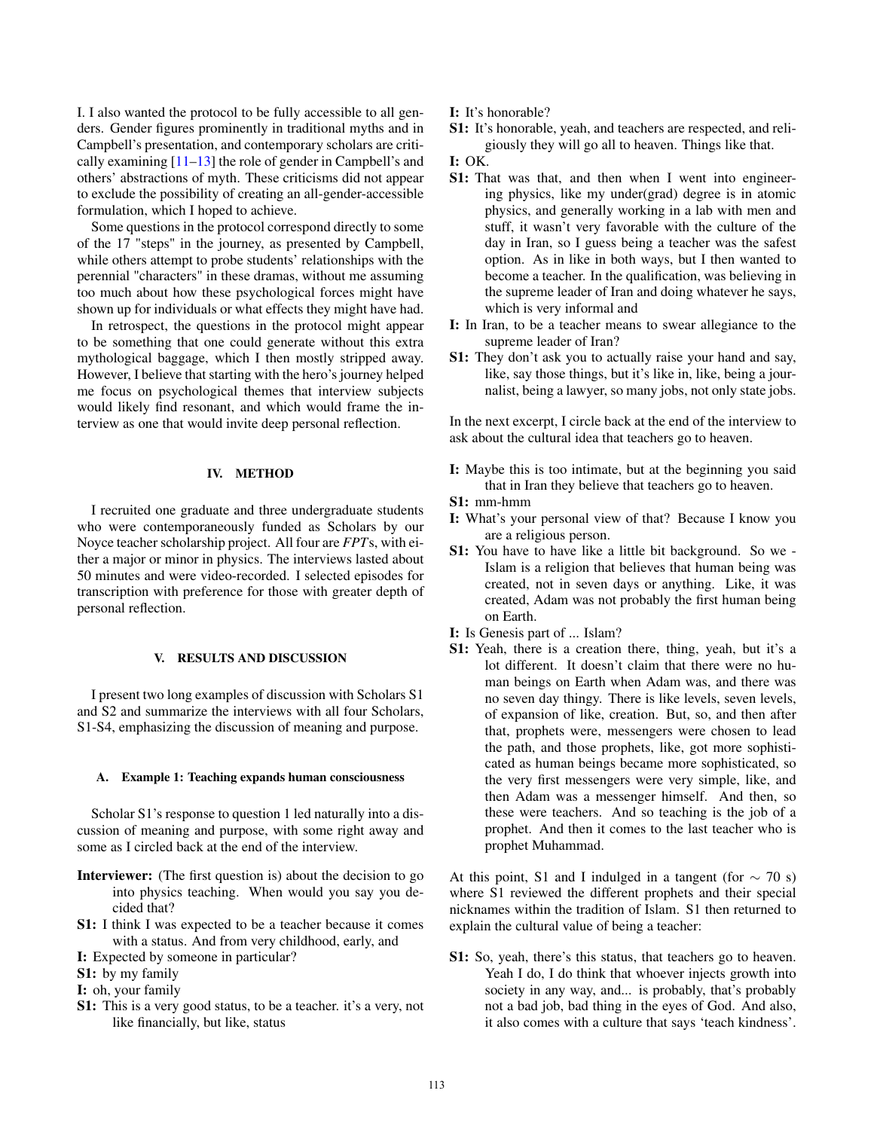I. I also wanted the protocol to be fully accessible to all genders. Gender figures prominently in traditional myths and in Campbell's presentation, and contemporary scholars are critically examining  $[11-13]$  the role of gender in Campbell's and others' abstractions of myth. These criticisms did not appear to exclude the possibility of creating an all-gender-accessible formulation, which I hoped to achieve.

Some questions in the protocol correspond directly to some of the 17 "steps" in the journey, as presented by Campbell, while others attempt to probe students' relationships with the perennial "characters" in these dramas, without me assuming too much about how these psychological forces might have shown up for individuals or what effects they might have had.

In retrospect, the questions in the protocol might appear to be something that one could generate without this extra mythological baggage, which I then mostly stripped away. However, I believe that starting with the hero's journey helped me focus on psychological themes that interview subjects would likely find resonant, and which would frame the interview as one that would invite deep personal reflection.

## IV. METHOD

I recruited one graduate and three undergraduate students who were contemporaneously funded as Scholars by our Noyce teacher scholarship project. All four are *FPT*s, with either a major or minor in physics. The interviews lasted about 50 minutes and were video-recorded. I selected episodes for transcription with preference for those with greater depth of personal reflection.

### V. RESULTS AND DISCUSSION

I present two long examples of discussion with Scholars S1 and S2 and summarize the interviews with all four Scholars, S1-S4, emphasizing the discussion of meaning and purpose.

## A. Example 1: Teaching expands human consciousness

Scholar S1's response to question 1 led naturally into a discussion of meaning and purpose, with some right away and some as I circled back at the end of the interview.

- Interviewer: (The first question is) about the decision to go into physics teaching. When would you say you decided that?
- S1: I think I was expected to be a teacher because it comes with a status. And from very childhood, early, and
- I: Expected by someone in particular?
- S1: by my family
- I: oh, your family
- S1: This is a very good status, to be a teacher. it's a very, not like financially, but like, status

I: It's honorable?

S1: It's honorable, yeah, and teachers are respected, and religiously they will go all to heaven. Things like that.

### I: OK.

- S1: That was that, and then when I went into engineering physics, like my under(grad) degree is in atomic physics, and generally working in a lab with men and stuff, it wasn't very favorable with the culture of the day in Iran, so I guess being a teacher was the safest option. As in like in both ways, but I then wanted to become a teacher. In the qualification, was believing in the supreme leader of Iran and doing whatever he says, which is very informal and
- I: In Iran, to be a teacher means to swear allegiance to the supreme leader of Iran?
- S1: They don't ask you to actually raise your hand and say, like, say those things, but it's like in, like, being a journalist, being a lawyer, so many jobs, not only state jobs.

In the next excerpt, I circle back at the end of the interview to ask about the cultural idea that teachers go to heaven.

- I: Maybe this is too intimate, but at the beginning you said that in Iran they believe that teachers go to heaven.
- S1: mm-hmm
- I: What's your personal view of that? Because I know you are a religious person.
- S1: You have to have like a little bit background. So we Islam is a religion that believes that human being was created, not in seven days or anything. Like, it was created, Adam was not probably the first human being on Earth.
- I: Is Genesis part of ... Islam?
- S1: Yeah, there is a creation there, thing, yeah, but it's a lot different. It doesn't claim that there were no human beings on Earth when Adam was, and there was no seven day thingy. There is like levels, seven levels, of expansion of like, creation. But, so, and then after that, prophets were, messengers were chosen to lead the path, and those prophets, like, got more sophisticated as human beings became more sophisticated, so the very first messengers were very simple, like, and then Adam was a messenger himself. And then, so these were teachers. And so teaching is the job of a prophet. And then it comes to the last teacher who is prophet Muhammad.

At this point, S1 and I indulged in a tangent (for  $\sim$  70 s) where S1 reviewed the different prophets and their special nicknames within the tradition of Islam. S1 then returned to explain the cultural value of being a teacher:

S1: So, yeah, there's this status, that teachers go to heaven. Yeah I do, I do think that whoever injects growth into society in any way, and... is probably, that's probably not a bad job, bad thing in the eyes of God. And also, it also comes with a culture that says 'teach kindness'.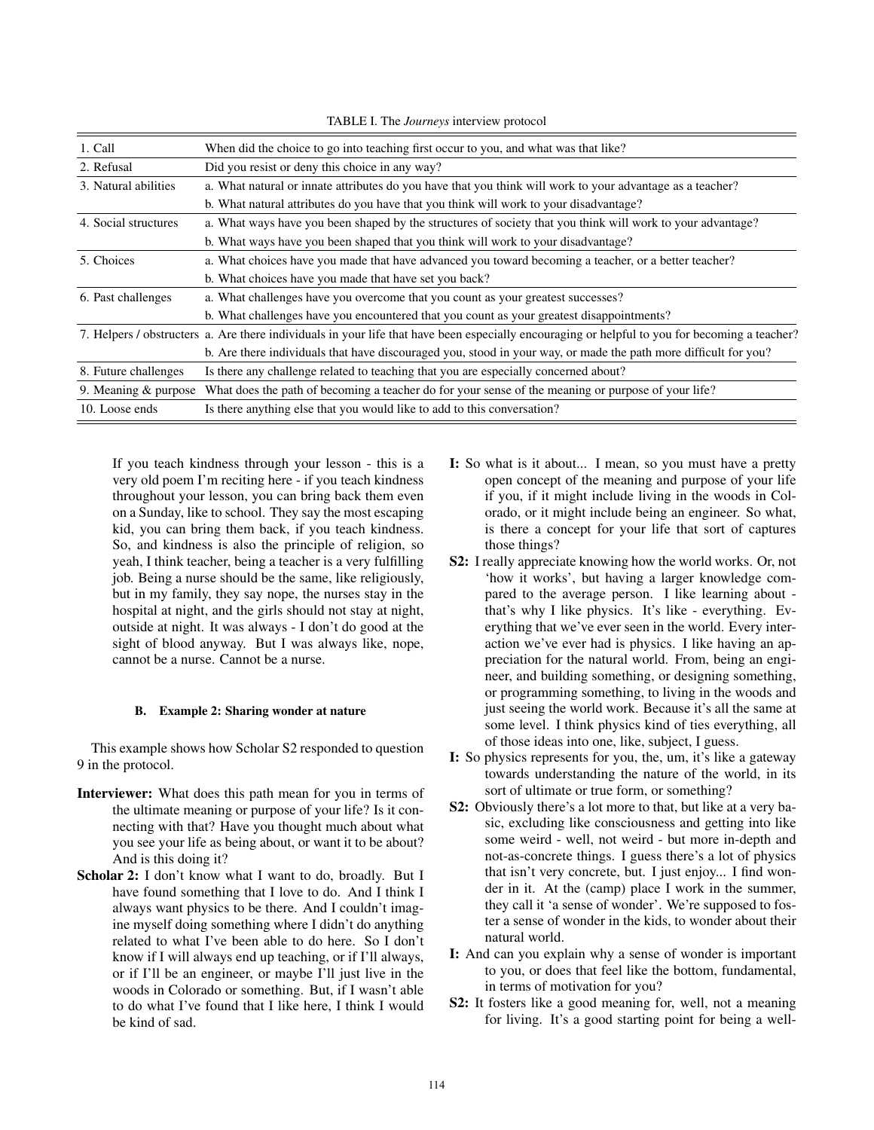1. Call When did the choice to go into teaching first occur to you, and what was that like? 2. Refusal Did you resist or deny this choice in any way? 3. Natural abilities a. What natural or innate attributes do you have that you think will work to your advantage as a teacher? b. What natural attributes do you have that you think will work to your disadvantage? 4. Social structures a. What ways have you been shaped by the structures of society that you think will work to your advantage? b. What ways have you been shaped that you think will work to your disadvantage? 5. Choices a. What choices have you made that have advanced you toward becoming a teacher, or a better teacher? b. What choices have you made that have set you back? 6. Past challenges a. What challenges have you overcome that you count as your greatest successes? b. What challenges have you encountered that you count as your greatest disappointments? 7. Helpers / obstructers a. Are there individuals in your life that have been especially encouraging or helpful to you for becoming a teacher? b. Are there individuals that have discouraged you, stood in your way, or made the path more difficult for you? 8. Future challenges Is there any challenge related to teaching that you are especially concerned about? 9. Meaning & purpose What does the path of becoming a teacher do for your sense of the meaning or purpose of your life? 10. Loose ends Is there anything else that you would like to add to this conversation?

TABLE I. The *Journeys* interview protocol

If you teach kindness through your lesson - this is a very old poem I'm reciting here - if you teach kindness throughout your lesson, you can bring back them even on a Sunday, like to school. They say the most escaping kid, you can bring them back, if you teach kindness. So, and kindness is also the principle of religion, so yeah, I think teacher, being a teacher is a very fulfilling job. Being a nurse should be the same, like religiously, but in my family, they say nope, the nurses stay in the hospital at night, and the girls should not stay at night, outside at night. It was always - I don't do good at the sight of blood anyway. But I was always like, nope, cannot be a nurse. Cannot be a nurse.

### B. Example 2: Sharing wonder at nature

This example shows how Scholar S2 responded to question 9 in the protocol.

- Interviewer: What does this path mean for you in terms of the ultimate meaning or purpose of your life? Is it connecting with that? Have you thought much about what you see your life as being about, or want it to be about? And is this doing it?
- Scholar 2: I don't know what I want to do, broadly. But I have found something that I love to do. And I think I always want physics to be there. And I couldn't imagine myself doing something where I didn't do anything related to what I've been able to do here. So I don't know if I will always end up teaching, or if I'll always, or if I'll be an engineer, or maybe I'll just live in the woods in Colorado or something. But, if I wasn't able to do what I've found that I like here, I think I would be kind of sad.
- I: So what is it about... I mean, so you must have a pretty open concept of the meaning and purpose of your life if you, if it might include living in the woods in Colorado, or it might include being an engineer. So what, is there a concept for your life that sort of captures those things?
- S2: I really appreciate knowing how the world works. Or, not 'how it works', but having a larger knowledge compared to the average person. I like learning about that's why I like physics. It's like - everything. Everything that we've ever seen in the world. Every interaction we've ever had is physics. I like having an appreciation for the natural world. From, being an engineer, and building something, or designing something, or programming something, to living in the woods and just seeing the world work. Because it's all the same at some level. I think physics kind of ties everything, all of those ideas into one, like, subject, I guess.
- I: So physics represents for you, the, um, it's like a gateway towards understanding the nature of the world, in its sort of ultimate or true form, or something?
- S2: Obviously there's a lot more to that, but like at a very basic, excluding like consciousness and getting into like some weird - well, not weird - but more in-depth and not-as-concrete things. I guess there's a lot of physics that isn't very concrete, but. I just enjoy... I find wonder in it. At the (camp) place I work in the summer, they call it 'a sense of wonder'. We're supposed to foster a sense of wonder in the kids, to wonder about their natural world.
- I: And can you explain why a sense of wonder is important to you, or does that feel like the bottom, fundamental, in terms of motivation for you?
- S2: It fosters like a good meaning for, well, not a meaning for living. It's a good starting point for being a well-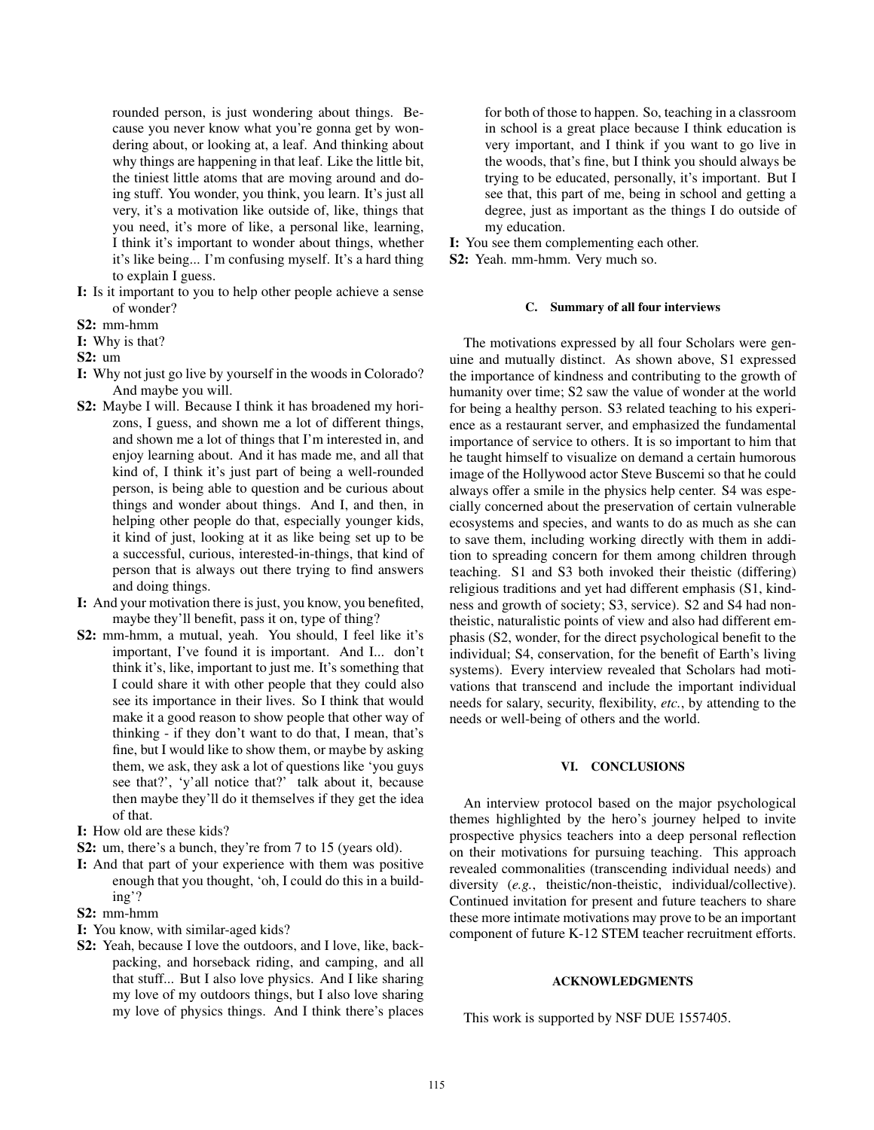rounded person, is just wondering about things. Because you never know what you're gonna get by wondering about, or looking at, a leaf. And thinking about why things are happening in that leaf. Like the little bit, the tiniest little atoms that are moving around and doing stuff. You wonder, you think, you learn. It's just all very, it's a motivation like outside of, like, things that you need, it's more of like, a personal like, learning, I think it's important to wonder about things, whether it's like being... I'm confusing myself. It's a hard thing to explain I guess.

- I: Is it important to you to help other people achieve a sense of wonder?
- S2: mm-hmm
- I: Why is that?
- S2: um
- I: Why not just go live by yourself in the woods in Colorado? And maybe you will.
- S2: Maybe I will. Because I think it has broadened my horizons, I guess, and shown me a lot of different things, and shown me a lot of things that I'm interested in, and enjoy learning about. And it has made me, and all that kind of, I think it's just part of being a well-rounded person, is being able to question and be curious about things and wonder about things. And I, and then, in helping other people do that, especially younger kids, it kind of just, looking at it as like being set up to be a successful, curious, interested-in-things, that kind of person that is always out there trying to find answers and doing things.
- I: And your motivation there is just, you know, you benefited, maybe they'll benefit, pass it on, type of thing?
- S2: mm-hmm, a mutual, yeah. You should, I feel like it's important, I've found it is important. And I... don't think it's, like, important to just me. It's something that I could share it with other people that they could also see its importance in their lives. So I think that would make it a good reason to show people that other way of thinking - if they don't want to do that, I mean, that's fine, but I would like to show them, or maybe by asking them, we ask, they ask a lot of questions like 'you guys see that?', 'y'all notice that?' talk about it, because then maybe they'll do it themselves if they get the idea of that.
- I: How old are these kids?
- S2: um, there's a bunch, they're from 7 to 15 (years old).
- I: And that part of your experience with them was positive enough that you thought, 'oh, I could do this in a building'?
- S2: mm-hmm
- I: You know, with similar-aged kids?
- S2: Yeah, because I love the outdoors, and I love, like, backpacking, and horseback riding, and camping, and all that stuff... But I also love physics. And I like sharing my love of my outdoors things, but I also love sharing my love of physics things. And I think there's places

for both of those to happen. So, teaching in a classroom in school is a great place because I think education is very important, and I think if you want to go live in the woods, that's fine, but I think you should always be trying to be educated, personally, it's important. But I see that, this part of me, being in school and getting a degree, just as important as the things I do outside of my education.

I: You see them complementing each other.

S2: Yeah. mm-hmm. Very much so.

### C. Summary of all four interviews

The motivations expressed by all four Scholars were genuine and mutually distinct. As shown above, S1 expressed the importance of kindness and contributing to the growth of humanity over time; S2 saw the value of wonder at the world for being a healthy person. S3 related teaching to his experience as a restaurant server, and emphasized the fundamental importance of service to others. It is so important to him that he taught himself to visualize on demand a certain humorous image of the Hollywood actor Steve Buscemi so that he could always offer a smile in the physics help center. S4 was especially concerned about the preservation of certain vulnerable ecosystems and species, and wants to do as much as she can to save them, including working directly with them in addition to spreading concern for them among children through teaching. S1 and S3 both invoked their theistic (differing) religious traditions and yet had different emphasis (S1, kindness and growth of society; S3, service). S2 and S4 had nontheistic, naturalistic points of view and also had different emphasis (S2, wonder, for the direct psychological benefit to the individual; S4, conservation, for the benefit of Earth's living systems). Every interview revealed that Scholars had motivations that transcend and include the important individual needs for salary, security, flexibility, *etc.*, by attending to the needs or well-being of others and the world.

#### VI. CONCLUSIONS

An interview protocol based on the major psychological themes highlighted by the hero's journey helped to invite prospective physics teachers into a deep personal reflection on their motivations for pursuing teaching. This approach revealed commonalities (transcending individual needs) and diversity (*e.g.*, theistic/non-theistic, individual/collective). Continued invitation for present and future teachers to share these more intimate motivations may prove to be an important component of future K-12 STEM teacher recruitment efforts.

## ACKNOWLEDGMENTS

This work is supported by NSF DUE 1557405.